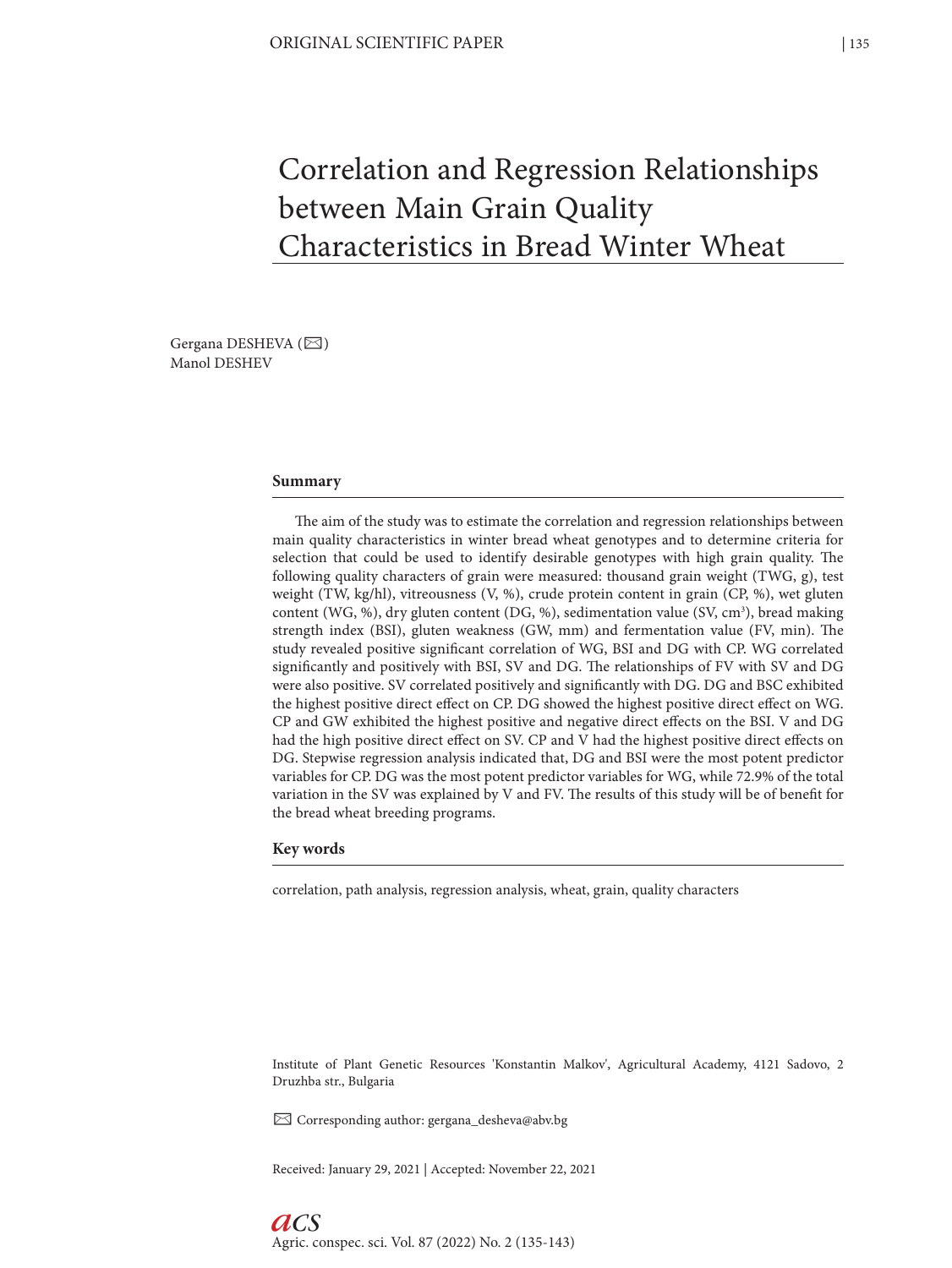# Correlation and Regression Relationships between Main Grain Quality Characteristics in Bread Winter Wheat

Gergana DESHEVA ( $\boxtimes$ ) Manol DESHEV

### **Summary**

The aim of the study was to estimate the correlation and regression relationships between main quality characteristics in winter bread wheat genotypes and to determine criteria for selection that could be used to identify desirable genotypes with high grain quality. The following quality characters of grain were measured: thousand grain weight (TWG, g), test weight (TW, kg/hl), vitreousness (V, %), crude protein content in grain (CP, %), wet gluten content (WG, %), dry gluten content (DG, %), sedimentation value (SV, cm<sup>3</sup>), bread making strength index (BSI), gluten weakness (GW, mm) and fermentation value (FV, min). The study revealed positive significant correlation of WG, BSI and DG with CP. WG correlated significantly and positively with BSI, SV and DG. The relationships of FV with SV and DG were also positive. SV correlated positively and significantly with DG. DG and BSC exhibited the highest positive direct effect on CP. DG showed the highest positive direct effect on WG. CP and GW exhibited the highest positive and negative direct effects on the BSI. V and DG had the high positive direct effect on SV. CP and V had the highest positive direct effects on DG. Stepwise regression analysis indicated that, DG and BSI were the most potent predictor variables for CP. DG was the most potent predictor variables for WG, while 72.9% of the total variation in the SV was explained by V and FV. The results of this study will be of benefit for the bread wheat breeding programs.

#### **Key words**

correlation, path analysis, regression analysis, wheat, grain, quality characters

Institute of Plant Genetic Resources 'Konstantin Malkov', Agricultural Academy, 4121 Sadovo, 2 Druzhba str., Bulgaria

✉ Corresponding author: gergana\_desheva@abv.bg

Received: January 29, 2021 | Accepted: November 22, 2021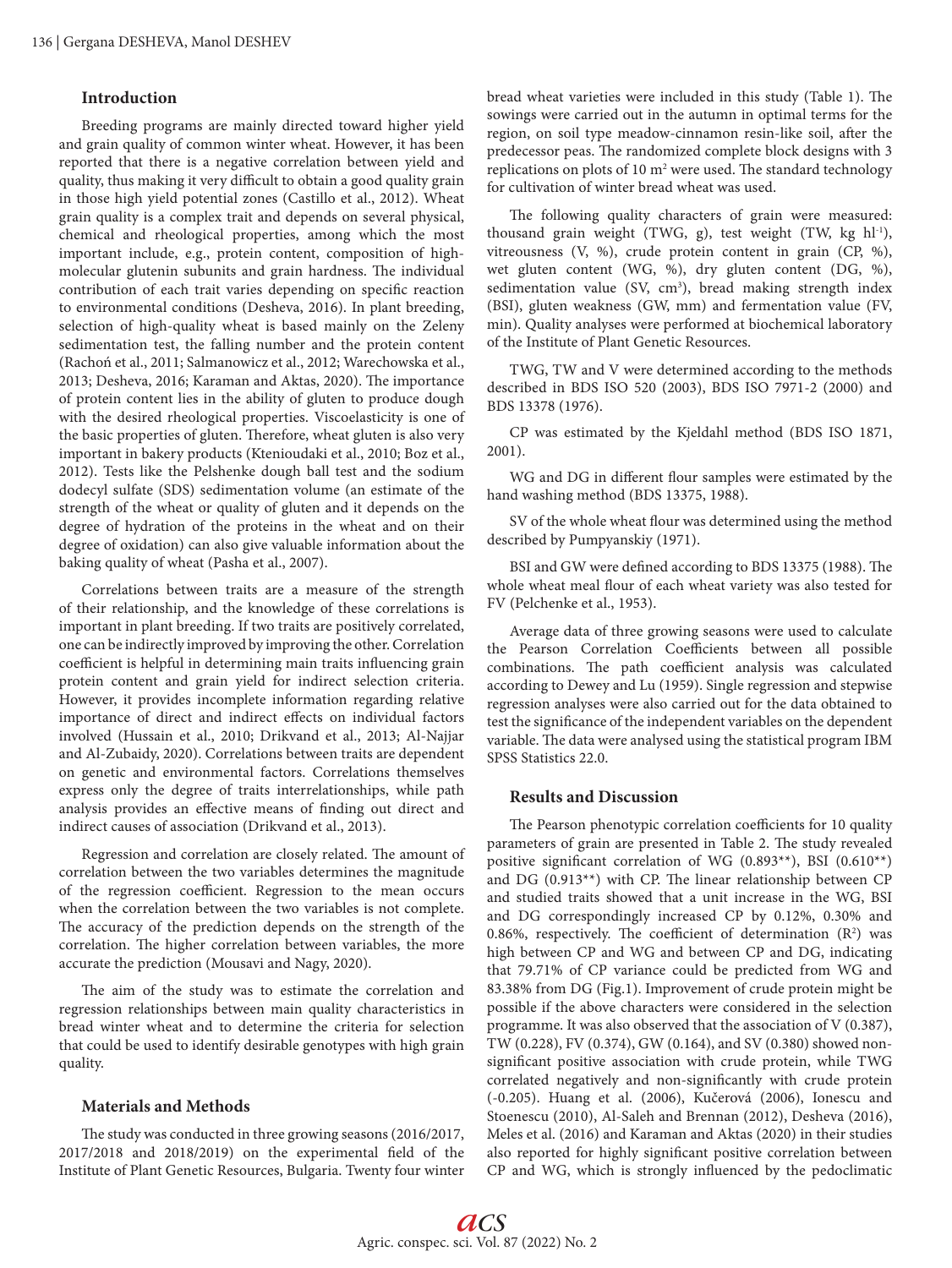## **Introduction**

Breeding programs are mainly directed toward higher yield and grain quality of common winter wheat. However, it has been reported that there is a negative correlation between yield and quality, thus making it very difficult to obtain a good quality grain in those high yield potential zones (Castillo et al., 2012). Wheat grain quality is a complex trait and depends on several physical, chemical and rheological properties, among which the most important include, e.g., protein content, composition of highmolecular glutenin subunits and grain hardness. The individual contribution of each trait varies depending on specific reaction to environmental conditions (Desheva, 2016). In plant breeding, selection of high-quality wheat is based mainly on the Zeleny sedimentation test, the falling number and the protein content (Rachoń et al., 2011; Salmanowicz et al., 2012; Warechowska et al., 2013; Desheva, 2016; Karaman and Aktas, 2020). The importance of protein content lies in the ability of gluten to produce dough with the desired rheological properties. Viscoelasticity is one of the basic properties of gluten. Therefore, wheat gluten is also very important in bakery products (Ktenioudaki et al., 2010; Boz et al., 2012). Tests like the Pelshenke dough ball test and the sodium dodecyl sulfate (SDS) sedimentation volume (an estimate of the strength of the wheat or quality of gluten and it depends on the degree of hydration of the proteins in the wheat and on their degree of oxidation) can also give valuable information about the baking quality of wheat (Pasha et al., 2007).

Correlations between traits are a measure of the strength of their relationship, and the knowledge of these correlations is important in plant breeding. If two traits are positively correlated, one can be indirectly improved by improving the other. Correlation coefficient is helpful in determining main traits influencing grain protein content and grain yield for indirect selection criteria. However, it provides incomplete information regarding relative importance of direct and indirect effects on individual factors involved (Hussain et al., 2010; Drikvand et al., 2013; Al-Najjar and Al-Zubaidy, 2020). Correlations between traits are dependent on genetic and environmental factors. Correlations themselves express only the degree of traits interrelationships, while path analysis provides an effective means of finding out direct and indirect causes of association (Drikvand et al., 2013).

Regression and correlation are closely related. The amount of correlation between the two variables determines the magnitude of the regression coefficient. Regression to the mean occurs when the correlation between the two variables is not complete. The accuracy of the prediction depends on the strength of the correlation. The higher correlation between variables, the more accurate the prediction (Mousavi and Nagy, 2020).

The aim of the study was to estimate the correlation and regression relationships between main quality characteristics in bread winter wheat and to determine the criteria for selection that could be used to identify desirable genotypes with high grain quality.

### **Materials and Methods**

The study was conducted in three growing seasons (2016/2017, 2017/2018 and 2018/2019) on the experimental field of the Institute of Plant Genetic Resources, Bulgaria. Twenty four winter bread wheat varieties were included in this study (Table 1). The sowings were carried out in the autumn in optimal terms for the region, on soil type meadow-cinnamon resin-like soil, after the predecessor peas. The randomized complete block designs with 3 replications on plots of 10  $m<sup>2</sup>$  were used. The standard technology for cultivation of winter bread wheat was used.

The following quality characters of grain were measured: thousand grain weight (TWG, g), test weight (TW, kg hl<sup>-1</sup>), vitreousness (V, %), crude protein content in grain (CP, %), wet gluten content (WG, %), dry gluten content (DG, %), sedimentation value (SV,  $cm<sup>3</sup>$ ), bread making strength index (BSI), gluten weakness (GW, mm) and fermentation value (FV, min). Quality analyses were performed at biochemical laboratory of the Institute of Plant Genetic Resources.

TWG, TW and V were determined according to the methods described in BDS ISO 520 (2003), BDS ISO 7971-2 (2000) and BDS 13378 (1976).

CP was estimated by the Kjeldahl method (BDS ISO 1871, 2001).

WG and DG in different flour samples were estimated by the hand washing method (BDS 13375, 1988).

SV of the whole wheat flour was determined using the method described by Pumpyanskiy (1971).

BSI and GW were defined according to BDS 13375 (1988). The whole wheat meal flour of each wheat variety was also tested for FV (Pelchenke et al., 1953).

Average data of three growing seasons were used to calculate the Pearson Correlation Coefficients between all possible combinations. The path coefficient analysis was calculated according to Dewey and Lu (1959). Single regression and stepwise regression analyses were also carried out for the data obtained to test the significance of the independent variables on the dependent variable. The data were analysed using the statistical program IBM SPSS Statistics 22.0.

## **Results and Discussion**

The Pearson phenotypic correlation coefficients for 10 quality parameters of grain are presented in Table 2. The study revealed positive significant correlation of WG (0.893\*\*), BSI (0.610\*\*) and DG (0.913\*\*) with CP. The linear relationship between CP and studied traits showed that a unit increase in the WG, BSI and DG correspondingly increased CP by 0.12%, 0.30% and 0.86%, respectively. The coefficient of determination  $(R^2)$  was high between CP and WG and between CP and DG, indicating that 79.71% of CP variance could be predicted from WG and 83.38% from DG (Fig.1). Improvement of crude protein might be possible if the above characters were considered in the selection programme. It was also observed that the association of V (0.387), TW (0.228), FV (0.374), GW (0.164), and SV (0.380) showed nonsignificant positive association with crude protein, while TWG correlated negatively and non-significantly with crude protein (-0.205). Huang et al. (2006), Kučerová (2006), Ionescu and Stoenescu (2010), Al-Saleh and Brennan (2012), Desheva (2016), Meles et al. (2016) and Karaman and Aktas (2020) in their studies also reported for highly significant positive correlation between CP and WG, which is strongly influenced by the pedoclimatic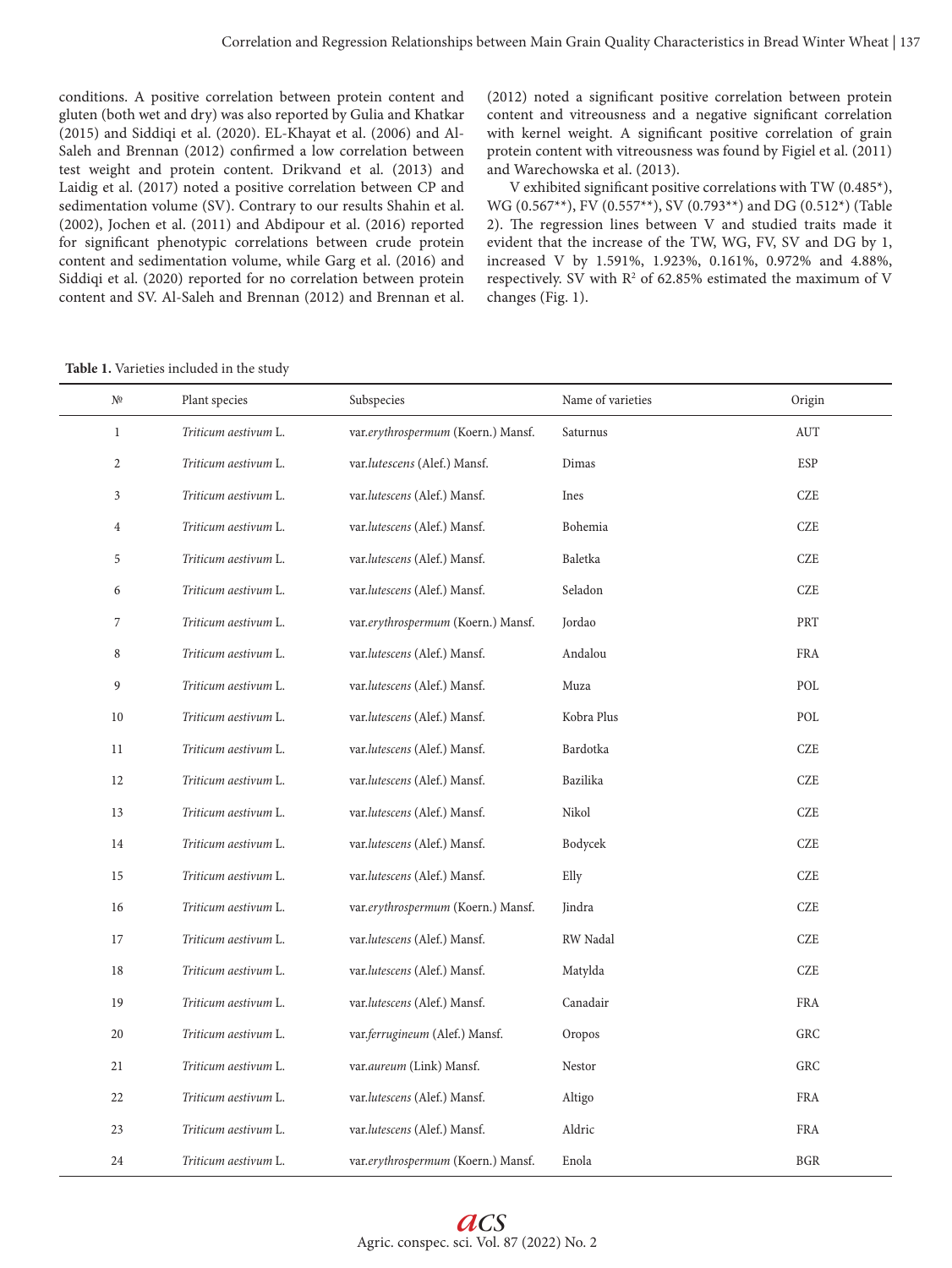conditions. A positive correlation between protein content and gluten (both wet and dry) was also reported by Gulia and Khatkar (2015) and Siddiqi et al. (2020). EL-Khayat et al. (2006) and Al-Saleh and Brennan (2012) confirmed a low correlation between test weight and protein content. Drikvand et al. (2013) and Laidig et al. (2017) noted a positive correlation between CP and sedimentation volume (SV). Contrary to our results Shahin et al. (2002), Jochen et al. (2011) and Abdipour et al. (2016) reported for significant phenotypic correlations between crude protein content and sedimentation volume, while Garg et al. (2016) and Siddiqi et al. (2020) reported for no correlation between protein content and SV. Al-Saleh and Brennan (2012) and Brennan et al.

(2012) noted a significant positive correlation between protein content and vitreousness and a negative significant correlation with kernel weight. A significant positive correlation of grain protein content with vitreousness was found by Figiel et al. (2011) and Warechowska et al. (2013).

V exhibited significant positive correlations with TW (0.485\*), WG (0.567\*\*), FV (0.557\*\*), SV (0.793\*\*) and DG (0.512\*) (Table 2). The regression lines between V and studied traits made it evident that the increase of the TW, WG, FV, SV and DG by 1, increased V by 1.591%, 1.923%, 0.161%, 0.972% and 4.88%, respectively. SV with  $R^2$  of 62.85% estimated the maximum of V changes (Fig. 1).

**Table 1.** Varieties included in the study

| Triticum aestivum L.<br>var.erythrospermum (Koern.) Mansf.<br>$\mathbf{1}$<br>Saturnus<br>AUT<br>$\overline{2}$<br>ESP<br>Triticum aestivum L.<br>var.lutescens (Alef.) Mansf.<br>Dimas<br>Triticum aestivum L.<br>var.lutescens (Alef.) Mansf.<br>CZE<br>3<br>Ines<br>Bohemia<br>CZE<br>$\overline{4}$<br>Triticum aestivum L.<br>var.lutescens (Alef.) Mansf.<br>5<br>Triticum aestivum L.<br>var.lutescens (Alef.) Mansf.<br>Baletka<br>CZE<br>var.lutescens (Alef.) Mansf.<br>Seladon<br>CZE<br>6<br>Triticum aestivum L.<br>$\overline{7}$<br>Triticum aestivum L.<br>var.erythrospermum (Koern.) Mansf.<br>Jordao<br>PRT<br>8<br>Triticum aestivum L.<br>Andalou<br><b>FRA</b><br>var.lutescens (Alef.) Mansf.<br>9<br>Triticum aestivum L.<br>var.lutescens (Alef.) Mansf.<br>Muza<br>POL<br>10<br>Triticum aestivum L.<br>var.lutescens (Alef.) Mansf.<br>Kobra Plus<br>POL<br>$C\mathbb{Z}\mathbf{E}$<br>11<br>Triticum aestivum L.<br>var.lutescens (Alef.) Mansf.<br>Bardotka<br>$C\mathbb{Z}\mathbf{E}$<br>12<br>Triticum aestivum L.<br>var.lutescens (Alef.) Mansf.<br>Bazilika<br>Nikol<br>$CZE$<br>13<br>Triticum aestivum L.<br>var.lutescens (Alef.) Mansf.<br><b>CZE</b><br>14<br>Triticum aestivum L.<br>var.lutescens (Alef.) Mansf.<br>Bodycek<br>CZE<br>15<br>Triticum aestivum L.<br>var.lutescens (Alef.) Mansf.<br>Elly<br>$C\mathbb{Z}\mathbf{E}$<br>16<br>Triticum aestivum L.<br>var.erythrospermum (Koern.) Mansf.<br>Jindra<br>Triticum aestivum L.<br>CZE<br>17<br>var.lutescens (Alef.) Mansf.<br>RW Nadal<br><b>CZE</b><br>18<br>Triticum aestivum L.<br>var.lutescens (Alef.) Mansf.<br>Matylda<br>Triticum aestivum L.<br><b>FRA</b><br>19<br>var.lutescens (Alef.) Mansf.<br>Canadair<br><b>GRC</b><br>20<br>Triticum aestivum L.<br>var.ferrugineum (Alef.) Mansf.<br>Oropos<br>Triticum aestivum L.<br>GRC<br>21<br>var.aureum (Link) Mansf.<br>Nestor<br><b>FRA</b><br>22<br>Triticum aestivum L.<br>var.lutescens (Alef.) Mansf.<br>Altigo<br>Triticum aestivum L.<br>var.lutescens (Alef.) Mansf.<br>Aldric<br><b>FRA</b><br>23<br><b>BGR</b><br>Triticum aestivum L.<br>var.erythrospermum (Koern.) Mansf.<br>Enola<br>24 | $N^{\rm o}$ | Plant species | Subspecies | Name of varieties | Origin |
|----------------------------------------------------------------------------------------------------------------------------------------------------------------------------------------------------------------------------------------------------------------------------------------------------------------------------------------------------------------------------------------------------------------------------------------------------------------------------------------------------------------------------------------------------------------------------------------------------------------------------------------------------------------------------------------------------------------------------------------------------------------------------------------------------------------------------------------------------------------------------------------------------------------------------------------------------------------------------------------------------------------------------------------------------------------------------------------------------------------------------------------------------------------------------------------------------------------------------------------------------------------------------------------------------------------------------------------------------------------------------------------------------------------------------------------------------------------------------------------------------------------------------------------------------------------------------------------------------------------------------------------------------------------------------------------------------------------------------------------------------------------------------------------------------------------------------------------------------------------------------------------------------------------------------------------------------------------------------------------------------------------------------------------------------------------------------------------------------------------------------------------------------------------------|-------------|---------------|------------|-------------------|--------|
|                                                                                                                                                                                                                                                                                                                                                                                                                                                                                                                                                                                                                                                                                                                                                                                                                                                                                                                                                                                                                                                                                                                                                                                                                                                                                                                                                                                                                                                                                                                                                                                                                                                                                                                                                                                                                                                                                                                                                                                                                                                                                                                                                                      |             |               |            |                   |        |
|                                                                                                                                                                                                                                                                                                                                                                                                                                                                                                                                                                                                                                                                                                                                                                                                                                                                                                                                                                                                                                                                                                                                                                                                                                                                                                                                                                                                                                                                                                                                                                                                                                                                                                                                                                                                                                                                                                                                                                                                                                                                                                                                                                      |             |               |            |                   |        |
|                                                                                                                                                                                                                                                                                                                                                                                                                                                                                                                                                                                                                                                                                                                                                                                                                                                                                                                                                                                                                                                                                                                                                                                                                                                                                                                                                                                                                                                                                                                                                                                                                                                                                                                                                                                                                                                                                                                                                                                                                                                                                                                                                                      |             |               |            |                   |        |
|                                                                                                                                                                                                                                                                                                                                                                                                                                                                                                                                                                                                                                                                                                                                                                                                                                                                                                                                                                                                                                                                                                                                                                                                                                                                                                                                                                                                                                                                                                                                                                                                                                                                                                                                                                                                                                                                                                                                                                                                                                                                                                                                                                      |             |               |            |                   |        |
|                                                                                                                                                                                                                                                                                                                                                                                                                                                                                                                                                                                                                                                                                                                                                                                                                                                                                                                                                                                                                                                                                                                                                                                                                                                                                                                                                                                                                                                                                                                                                                                                                                                                                                                                                                                                                                                                                                                                                                                                                                                                                                                                                                      |             |               |            |                   |        |
|                                                                                                                                                                                                                                                                                                                                                                                                                                                                                                                                                                                                                                                                                                                                                                                                                                                                                                                                                                                                                                                                                                                                                                                                                                                                                                                                                                                                                                                                                                                                                                                                                                                                                                                                                                                                                                                                                                                                                                                                                                                                                                                                                                      |             |               |            |                   |        |
|                                                                                                                                                                                                                                                                                                                                                                                                                                                                                                                                                                                                                                                                                                                                                                                                                                                                                                                                                                                                                                                                                                                                                                                                                                                                                                                                                                                                                                                                                                                                                                                                                                                                                                                                                                                                                                                                                                                                                                                                                                                                                                                                                                      |             |               |            |                   |        |
|                                                                                                                                                                                                                                                                                                                                                                                                                                                                                                                                                                                                                                                                                                                                                                                                                                                                                                                                                                                                                                                                                                                                                                                                                                                                                                                                                                                                                                                                                                                                                                                                                                                                                                                                                                                                                                                                                                                                                                                                                                                                                                                                                                      |             |               |            |                   |        |
|                                                                                                                                                                                                                                                                                                                                                                                                                                                                                                                                                                                                                                                                                                                                                                                                                                                                                                                                                                                                                                                                                                                                                                                                                                                                                                                                                                                                                                                                                                                                                                                                                                                                                                                                                                                                                                                                                                                                                                                                                                                                                                                                                                      |             |               |            |                   |        |
|                                                                                                                                                                                                                                                                                                                                                                                                                                                                                                                                                                                                                                                                                                                                                                                                                                                                                                                                                                                                                                                                                                                                                                                                                                                                                                                                                                                                                                                                                                                                                                                                                                                                                                                                                                                                                                                                                                                                                                                                                                                                                                                                                                      |             |               |            |                   |        |
|                                                                                                                                                                                                                                                                                                                                                                                                                                                                                                                                                                                                                                                                                                                                                                                                                                                                                                                                                                                                                                                                                                                                                                                                                                                                                                                                                                                                                                                                                                                                                                                                                                                                                                                                                                                                                                                                                                                                                                                                                                                                                                                                                                      |             |               |            |                   |        |
|                                                                                                                                                                                                                                                                                                                                                                                                                                                                                                                                                                                                                                                                                                                                                                                                                                                                                                                                                                                                                                                                                                                                                                                                                                                                                                                                                                                                                                                                                                                                                                                                                                                                                                                                                                                                                                                                                                                                                                                                                                                                                                                                                                      |             |               |            |                   |        |
|                                                                                                                                                                                                                                                                                                                                                                                                                                                                                                                                                                                                                                                                                                                                                                                                                                                                                                                                                                                                                                                                                                                                                                                                                                                                                                                                                                                                                                                                                                                                                                                                                                                                                                                                                                                                                                                                                                                                                                                                                                                                                                                                                                      |             |               |            |                   |        |
|                                                                                                                                                                                                                                                                                                                                                                                                                                                                                                                                                                                                                                                                                                                                                                                                                                                                                                                                                                                                                                                                                                                                                                                                                                                                                                                                                                                                                                                                                                                                                                                                                                                                                                                                                                                                                                                                                                                                                                                                                                                                                                                                                                      |             |               |            |                   |        |
|                                                                                                                                                                                                                                                                                                                                                                                                                                                                                                                                                                                                                                                                                                                                                                                                                                                                                                                                                                                                                                                                                                                                                                                                                                                                                                                                                                                                                                                                                                                                                                                                                                                                                                                                                                                                                                                                                                                                                                                                                                                                                                                                                                      |             |               |            |                   |        |
|                                                                                                                                                                                                                                                                                                                                                                                                                                                                                                                                                                                                                                                                                                                                                                                                                                                                                                                                                                                                                                                                                                                                                                                                                                                                                                                                                                                                                                                                                                                                                                                                                                                                                                                                                                                                                                                                                                                                                                                                                                                                                                                                                                      |             |               |            |                   |        |
|                                                                                                                                                                                                                                                                                                                                                                                                                                                                                                                                                                                                                                                                                                                                                                                                                                                                                                                                                                                                                                                                                                                                                                                                                                                                                                                                                                                                                                                                                                                                                                                                                                                                                                                                                                                                                                                                                                                                                                                                                                                                                                                                                                      |             |               |            |                   |        |
|                                                                                                                                                                                                                                                                                                                                                                                                                                                                                                                                                                                                                                                                                                                                                                                                                                                                                                                                                                                                                                                                                                                                                                                                                                                                                                                                                                                                                                                                                                                                                                                                                                                                                                                                                                                                                                                                                                                                                                                                                                                                                                                                                                      |             |               |            |                   |        |
|                                                                                                                                                                                                                                                                                                                                                                                                                                                                                                                                                                                                                                                                                                                                                                                                                                                                                                                                                                                                                                                                                                                                                                                                                                                                                                                                                                                                                                                                                                                                                                                                                                                                                                                                                                                                                                                                                                                                                                                                                                                                                                                                                                      |             |               |            |                   |        |
|                                                                                                                                                                                                                                                                                                                                                                                                                                                                                                                                                                                                                                                                                                                                                                                                                                                                                                                                                                                                                                                                                                                                                                                                                                                                                                                                                                                                                                                                                                                                                                                                                                                                                                                                                                                                                                                                                                                                                                                                                                                                                                                                                                      |             |               |            |                   |        |
|                                                                                                                                                                                                                                                                                                                                                                                                                                                                                                                                                                                                                                                                                                                                                                                                                                                                                                                                                                                                                                                                                                                                                                                                                                                                                                                                                                                                                                                                                                                                                                                                                                                                                                                                                                                                                                                                                                                                                                                                                                                                                                                                                                      |             |               |            |                   |        |
|                                                                                                                                                                                                                                                                                                                                                                                                                                                                                                                                                                                                                                                                                                                                                                                                                                                                                                                                                                                                                                                                                                                                                                                                                                                                                                                                                                                                                                                                                                                                                                                                                                                                                                                                                                                                                                                                                                                                                                                                                                                                                                                                                                      |             |               |            |                   |        |
|                                                                                                                                                                                                                                                                                                                                                                                                                                                                                                                                                                                                                                                                                                                                                                                                                                                                                                                                                                                                                                                                                                                                                                                                                                                                                                                                                                                                                                                                                                                                                                                                                                                                                                                                                                                                                                                                                                                                                                                                                                                                                                                                                                      |             |               |            |                   |        |
|                                                                                                                                                                                                                                                                                                                                                                                                                                                                                                                                                                                                                                                                                                                                                                                                                                                                                                                                                                                                                                                                                                                                                                                                                                                                                                                                                                                                                                                                                                                                                                                                                                                                                                                                                                                                                                                                                                                                                                                                                                                                                                                                                                      |             |               |            |                   |        |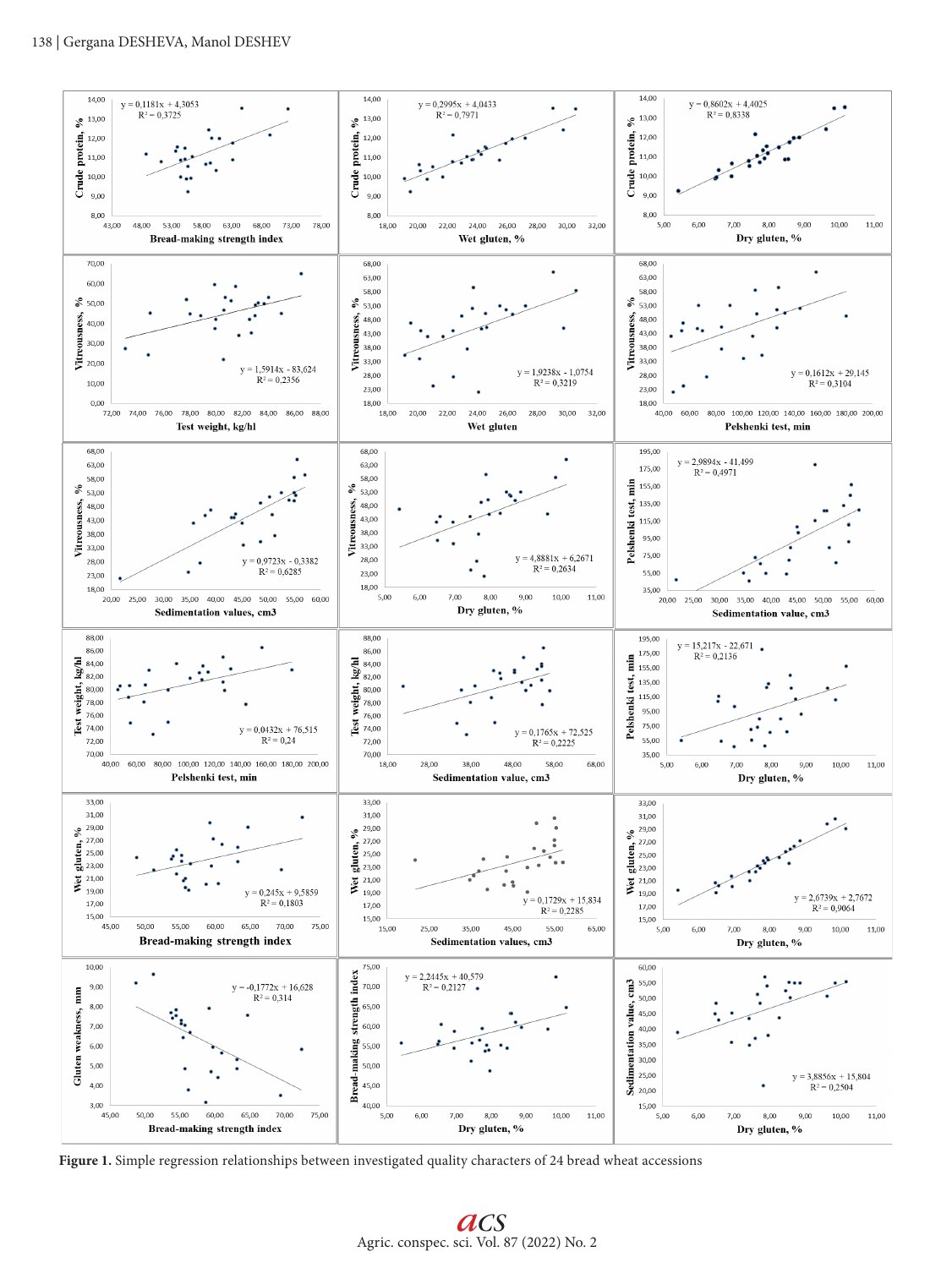

**Figure 1.** Simple regression relationships between investigated quality characters of 24 bread wheat accessions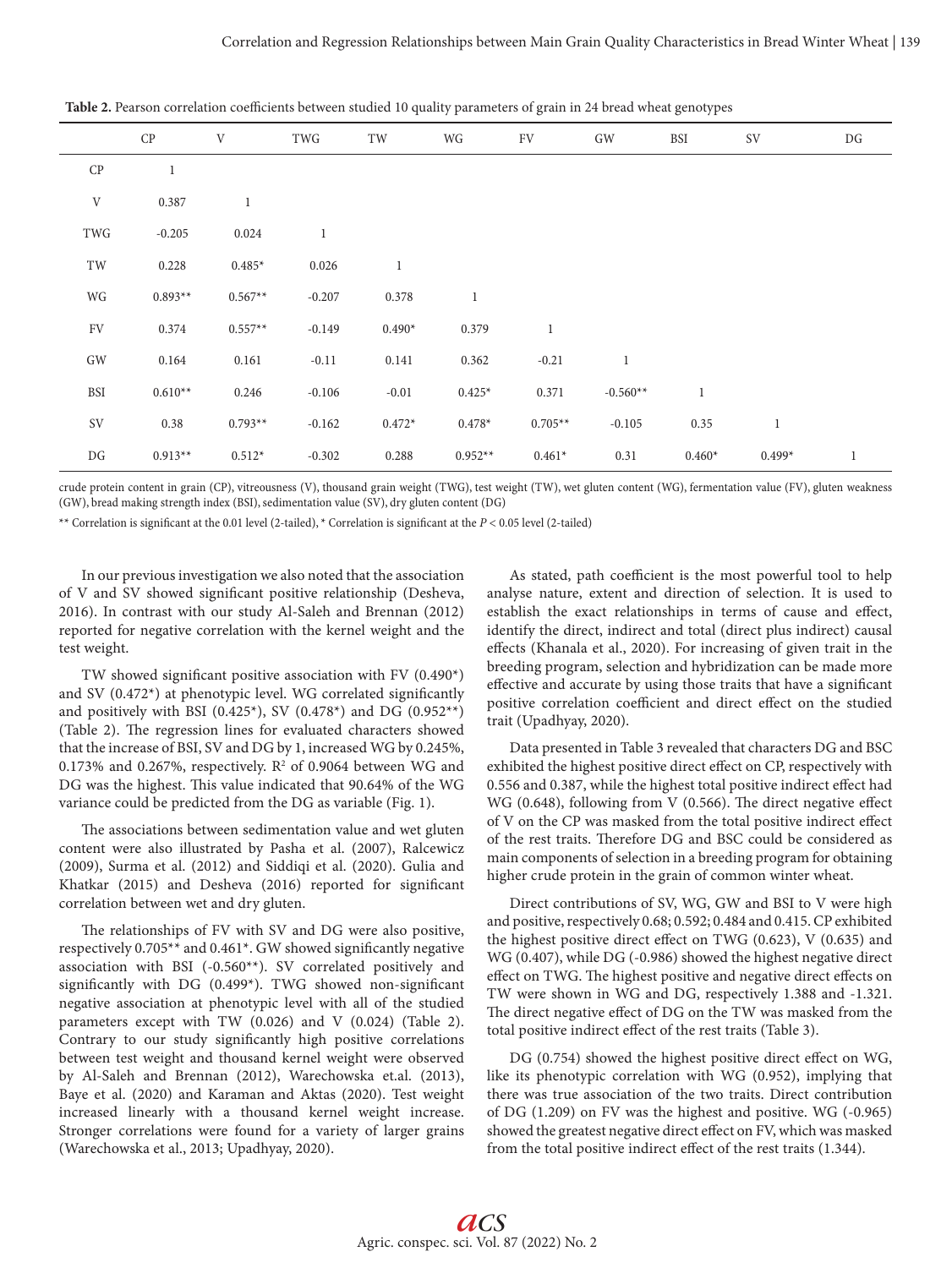|            | $\cal CP~$   | V            | TWG          | TW       | WG             | FV           | GW           | BSI          | <b>SV</b>    | DG           |
|------------|--------------|--------------|--------------|----------|----------------|--------------|--------------|--------------|--------------|--------------|
| CP         | $\mathbf{1}$ |              |              |          |                |              |              |              |              |              |
| V          | 0.387        | $\mathbf{1}$ |              |          |                |              |              |              |              |              |
| TWG        | $-0.205$     | 0.024        | $\mathbf{1}$ |          |                |              |              |              |              |              |
| TW         | 0.228        | $0.485*$     | 0.026        | $\,1\,$  |                |              |              |              |              |              |
| WG         | $0.893**$    | $0.567**$    | $-0.207$     | 0.378    | $\mathbf{1}$   |              |              |              |              |              |
| ${\rm FV}$ | 0.374        | $0.557**$    | $-0.149$     | $0.490*$ | 0.379          | $\mathbf{1}$ |              |              |              |              |
| GW         | 0.164        | 0.161        | $-0.11$      | 0.141    | 0.362          | $-0.21$      | $\mathbf{1}$ |              |              |              |
| BSI        | $0.610**$    | 0.246        | $-0.106$     | $-0.01$  | $0.425^{\ast}$ | 0.371        | $-0.560**$   | $\mathbf{1}$ |              |              |
| <b>SV</b>  | 0.38         | $0.793**$    | $-0.162$     | $0.472*$ | $0.478*$       | $0.705**$    | $-0.105$     | 0.35         | $\mathbf{1}$ |              |
| DG         | $0.913**$    | $0.512*$     | $-0.302$     | 0.288    | $0.952**$      | $0.461*$     | 0.31         | $0.460*$     | $0.499*$     | $\mathbf{1}$ |

**Table 2.** Pearson correlation coefficients between studied 10 quality parameters of grain in 24 bread wheat genotypes

crude protein content in grain (CP), vitreousness (V), thousand grain weight (TWG), test weight (TW), wet gluten content (WG), fermentation value (FV), gluten weakness (GW), bread making strength index (BSI), sedimentation value (SV), dry gluten content (DG)

\*\* Correlation is significant at the 0.01 level (2-tailed), \* Correlation is significant at the *P* < 0.05 level (2-tailed)

In our previous investigation we also noted that the association of V and SV showed significant positive relationship (Desheva, 2016). In contrast with our study Al-Saleh and Brennan (2012) reported for negative correlation with the kernel weight and the test weight.

TW showed significant positive association with FV (0.490\*) and SV (0.472\*) at phenotypic level. WG correlated significantly and positively with BSI (0.425<sup>\*</sup>), SV (0.478<sup>\*</sup>) and DG (0.952<sup>\*\*</sup>) (Table 2). The regression lines for evaluated characters showed that the increase of BSI, SV and DG by 1, increased WG by 0.245%,  $0.173\%$  and  $0.267\%$ , respectively.  $\mathbb{R}^2$  of 0.9064 between WG and DG was the highest. This value indicated that 90.64% of the WG variance could be predicted from the DG as variable (Fig. 1).

The associations between sedimentation value and wet gluten content were also illustrated by Pasha et al. (2007), Ralcewicz (2009), Surma et al. (2012) and Siddiqi et al. (2020). Gulia and Khatkar (2015) and Desheva (2016) reported for significant correlation between wet and dry gluten.

The relationships of FV with SV and DG were also positive, respectively 0.705\*\* and 0.461\*. GW showed significantly negative association with BSI (-0.560\*\*). SV correlated positively and significantly with DG (0.499\*). TWG showed non-significant negative association at phenotypic level with all of the studied parameters except with TW (0.026) and V (0.024) (Table 2). Contrary to our study significantly high positive correlations between test weight and thousand kernel weight were observed by Al-Saleh and Brennan (2012), Warechowska et.al. (2013), Baye et al. (2020) and Karaman and Aktas (2020). Test weight increased linearly with a thousand kernel weight increase. Stronger correlations were found for a variety of larger grains (Warechowska et al., 2013; Upadhyay, 2020).

As stated, path coefficient is the most powerful tool to help analyse nature, extent and direction of selection. It is used to establish the exact relationships in terms of cause and effect, identify the direct, indirect and total (direct plus indirect) causal effects (Khanala et al., 2020). For increasing of given trait in the breeding program, selection and hybridization can be made more effective and accurate by using those traits that have a significant positive correlation coefficient and direct effect on the studied trait (Upadhyay, 2020).

Data presented in Table 3 revealed that characters DG and BSC exhibited the highest positive direct effect on CP, respectively with 0.556 and 0.387, while the highest total positive indirect effect had WG (0.648), following from V (0.566). The direct negative effect of V on the CP was masked from the total positive indirect effect of the rest traits. Therefore DG and BSC could be considered as main components of selection in a breeding program for obtaining higher crude protein in the grain of common winter wheat.

Direct contributions of SV, WG, GW and BSI to V were high and positive, respectively 0.68; 0.592; 0.484 and 0.415. CP exhibited the highest positive direct effect on TWG (0.623), V (0.635) and WG (0.407), while DG (-0.986) showed the highest negative direct effect on TWG. The highest positive and negative direct effects on TW were shown in WG and DG, respectively 1.388 and -1.321. The direct negative effect of DG on the TW was masked from the total positive indirect effect of the rest traits (Table 3).

DG (0.754) showed the highest positive direct effect on WG, like its phenotypic correlation with WG (0.952), implying that there was true association of the two traits. Direct contribution of DG (1.209) on FV was the highest and positive. WG (-0.965) showed the greatest negative direct effect on FV, which was masked from the total positive indirect effect of the rest traits (1.344).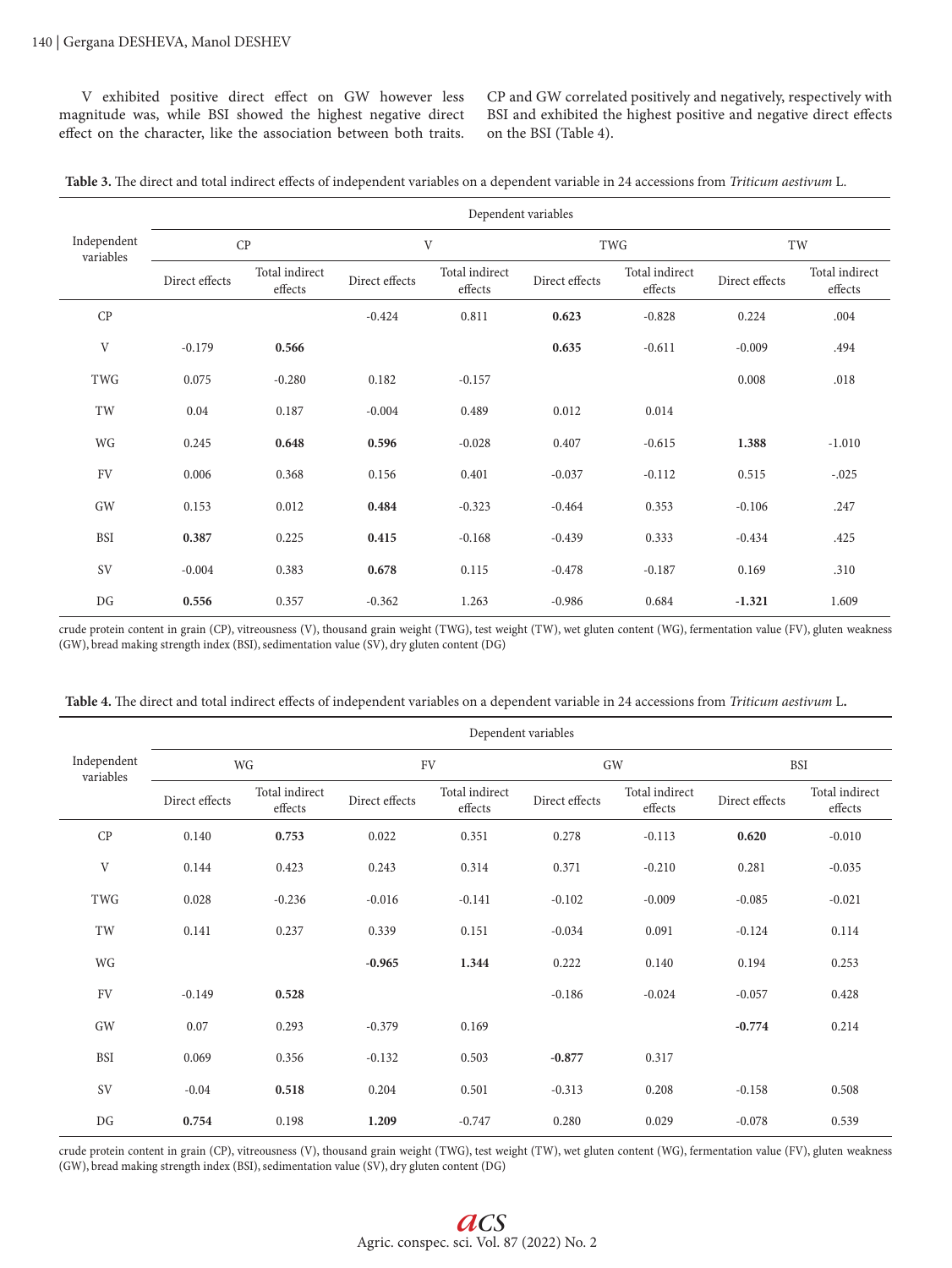V exhibited positive direct effect on GW however less magnitude was, while BSI showed the highest negative direct effect on the character, like the association between both traits.

CP and GW correlated positively and negatively, respectively with BSI and exhibited the highest positive and negative direct effects on the BSI (Table 4).

| Table 3. The direct and total indirect effects of independent variables on a dependent variable in 24 accessions from Triticum aestivum L. |  |
|--------------------------------------------------------------------------------------------------------------------------------------------|--|
|--------------------------------------------------------------------------------------------------------------------------------------------|--|

|                          | Dependent variables |                           |                |                           |                |                           |                |                           |  |
|--------------------------|---------------------|---------------------------|----------------|---------------------------|----------------|---------------------------|----------------|---------------------------|--|
| Independent<br>variables |                     | CP                        |                | $\mathbf{V}$              |                | TWG                       |                | TW                        |  |
|                          | Direct effects      | Total indirect<br>effects | Direct effects | Total indirect<br>effects | Direct effects | Total indirect<br>effects | Direct effects | Total indirect<br>effects |  |
| CP                       |                     |                           | $-0.424$       | 0.811                     | 0.623          | $-0.828$                  | 0.224          | .004                      |  |
| V                        | $-0.179$            | 0.566                     |                |                           | 0.635          | $-0.611$                  | $-0.009$       | .494                      |  |
| TWG                      | 0.075               | $-0.280$                  | 0.182          | $-0.157$                  |                |                           | 0.008          | .018                      |  |
| TW                       | 0.04                | 0.187                     | $-0.004$       | 0.489                     | 0.012          | 0.014                     |                |                           |  |
| WG                       | 0.245               | 0.648                     | 0.596          | $-0.028$                  | 0.407          | $-0.615$                  | 1.388          | $-1.010$                  |  |
| FV                       | 0.006               | 0.368                     | 0.156          | 0.401                     | $-0.037$       | $-0.112$                  | 0.515          | $-.025$                   |  |
| GW                       | 0.153               | 0.012                     | 0.484          | $-0.323$                  | $-0.464$       | 0.353                     | $-0.106$       | .247                      |  |
| BSI                      | 0.387               | 0.225                     | 0.415          | $-0.168$                  | $-0.439$       | 0.333                     | $-0.434$       | .425                      |  |
| SV                       | $-0.004$            | 0.383                     | 0.678          | 0.115                     | $-0.478$       | $-0.187$                  | 0.169          | .310                      |  |
| DG                       | 0.556               | 0.357                     | $-0.362$       | 1.263                     | $-0.986$       | 0.684                     | $-1.321$       | 1.609                     |  |

crude protein content in grain (CP), vitreousness (V), thousand grain weight (TWG), test weight (TW), wet gluten content (WG), fermentation value (FV), gluten weakness (GW), bread making strength index (BSI), sedimentation value (SV), dry gluten content (DG)

|                          | Dependent variables |                           |                |                           |                |                           |                |                           |  |
|--------------------------|---------------------|---------------------------|----------------|---------------------------|----------------|---------------------------|----------------|---------------------------|--|
| Independent<br>variables | WG                  |                           |                | FV                        |                | GW                        |                | <b>BSI</b>                |  |
|                          | Direct effects      | Total indirect<br>effects | Direct effects | Total indirect<br>effects | Direct effects | Total indirect<br>effects | Direct effects | Total indirect<br>effects |  |
| CP                       | 0.140               | 0.753                     | 0.022          | 0.351                     | 0.278          | $-0.113$                  | 0.620          | $-0.010$                  |  |
| V                        | 0.144               | 0.423                     | 0.243          | 0.314                     | 0.371          | $-0.210$                  | 0.281          | $-0.035$                  |  |
| TWG                      | 0.028               | $-0.236$                  | $-0.016$       | $-0.141$                  | $-0.102$       | $-0.009$                  | $-0.085$       | $-0.021$                  |  |
| TW                       | 0.141               | 0.237                     | 0.339          | 0.151                     | $-0.034$       | 0.091                     | $-0.124$       | 0.114                     |  |
| WG                       |                     |                           | $-0.965$       | 1.344                     | 0.222          | 0.140                     | 0.194          | 0.253                     |  |
| <b>FV</b>                | $-0.149$            | 0.528                     |                |                           | $-0.186$       | $-0.024$                  | $-0.057$       | 0.428                     |  |
| GW                       | 0.07                | 0.293                     | $-0.379$       | 0.169                     |                |                           | $-0.774$       | 0.214                     |  |
| <b>BSI</b>               | 0.069               | 0.356                     | $-0.132$       | 0.503                     | $-0.877$       | 0.317                     |                |                           |  |
| <b>SV</b>                | $-0.04$             | 0.518                     | 0.204          | 0.501                     | $-0.313$       | 0.208                     | $-0.158$       | 0.508                     |  |
| DG                       | 0.754               | 0.198                     | 1.209          | $-0.747$                  | 0.280          | 0.029                     | $-0.078$       | 0.539                     |  |

**Table 4.** The direct and total indirect effects of independent variables on a dependent variable in 24 accessions from *Triticum aestivum* L**.**

crude protein content in grain (CP), vitreousness (V), thousand grain weight (TWG), test weight (TW), wet gluten content (WG), fermentation value (FV), gluten weakness (GW), bread making strength index (BSI), sedimentation value (SV), dry gluten content (DG)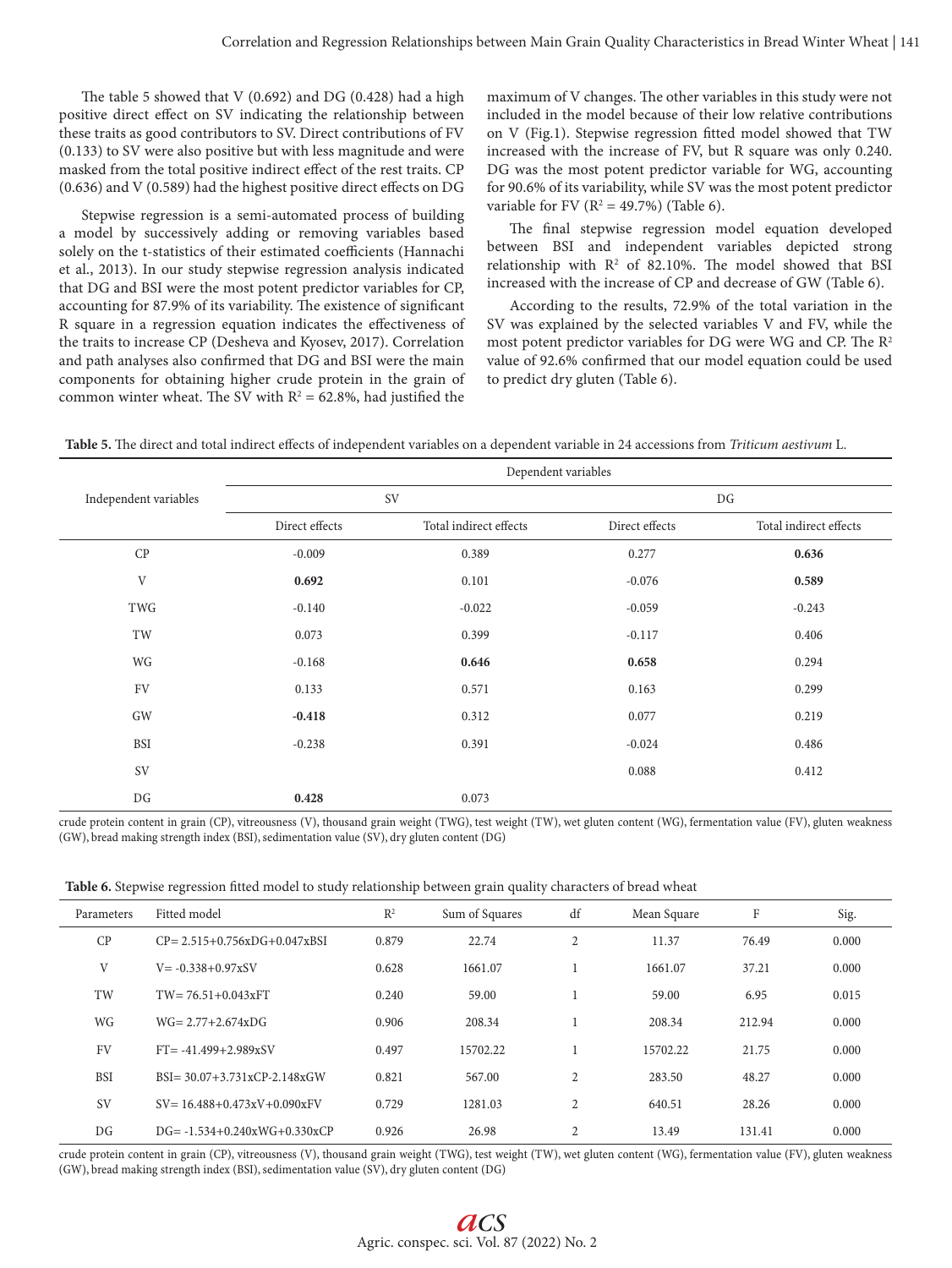The table 5 showed that V (0.692) and DG (0.428) had a high positive direct effect on SV indicating the relationship between these traits as good contributors to SV. Direct contributions of FV (0.133) to SV were also positive but with less magnitude and were masked from the total positive indirect effect of the rest traits. CP (0.636) and V (0.589) had the highest positive direct effects on DG

Stepwise regression is a semi-automated process of building a model by successively adding or removing variables based solely on the t-statistics of their estimated coefficients (Hannachi et al., 2013). In our study stepwise regression analysis indicated that DG and BSI were the most potent predictor variables for CP, accounting for 87.9% of its variability. The existence of significant R square in a regression equation indicates the effectiveness of the traits to increase CP (Desheva and Kyosev, 2017). Correlation and path analyses also confirmed that DG and BSI were the main components for obtaining higher crude protein in the grain of common winter wheat. The SV with  $R^2 = 62.8\%$ , had justified the

maximum of V changes. The other variables in this study were not included in the model because of their low relative contributions on V (Fig.1). Stepwise regression fitted model showed that TW increased with the increase of FV, but R square was only 0.240. DG was the most potent predictor variable for WG, accounting for 90.6% of its variability, while SV was the most potent predictor variable for FV  $(R^2 = 49.7%)$  (Table 6).

The final stepwise regression model equation developed between BSI and independent variables depicted strong relationship with  $R^2$  of 82.10%. The model showed that BSI increased with the increase of CP and decrease of GW (Table 6).

According to the results, 72.9% of the total variation in the SV was explained by the selected variables V and FV, while the most potent predictor variables for DG were WG and CP. The R2 value of 92.6% confirmed that our model equation could be used to predict dry gluten (Table 6).

**Table 5.** The direct and total indirect effects of independent variables on a dependent variable in 24 accessions from *Triticum aestivum* L.

|                       | Dependent variables |                        |                |                        |  |  |  |
|-----------------------|---------------------|------------------------|----------------|------------------------|--|--|--|
| Independent variables |                     | SV                     | DG             |                        |  |  |  |
|                       | Direct effects      | Total indirect effects | Direct effects | Total indirect effects |  |  |  |
| $\cal CP~$            | $-0.009$            | 0.389                  | 0.277          | 0.636                  |  |  |  |
| V                     | 0.692               | 0.101                  | $-0.076$       | 0.589                  |  |  |  |
| TWG                   | $-0.140$            | $-0.022$               | $-0.059$       | $-0.243$               |  |  |  |
| TW                    | 0.073               | 0.399                  | $-0.117$       | 0.406                  |  |  |  |
| WG                    | $-0.168$            | 0.646                  | 0.658          | 0.294                  |  |  |  |
| <b>FV</b>             | 0.133               | 0.571                  | 0.163          | 0.299                  |  |  |  |
| GW                    | $-0.418$            | 0.312                  | 0.077          | 0.219                  |  |  |  |
| <b>BSI</b>            | $-0.238$            | 0.391                  | $-0.024$       | 0.486                  |  |  |  |
| <b>SV</b>             |                     |                        | 0.088          | 0.412                  |  |  |  |
| DG                    | 0.428               | 0.073                  |                |                        |  |  |  |

crude protein content in grain (CP), vitreousness (V), thousand grain weight (TWG), test weight (TW), wet gluten content (WG), fermentation value (FV), gluten weakness (GW), bread making strength index (BSI), sedimentation value (SV), dry gluten content (DG)

**Table 6.** Stepwise regression fitted model to study relationship between grain quality characters of bread wheat

| Parameters | Fitted model                                      | R <sup>2</sup> | Sum of Squares | df | Mean Square | F      | Sig.  |
|------------|---------------------------------------------------|----------------|----------------|----|-------------|--------|-------|
| CP         | $CP = 2.515 + 0.756 \times DG + 0.047 \times BSI$ | 0.879          | 22.74          | 2  | 11.37       | 76.49  | 0.000 |
| V          | $V = -0.338 + 0.97xSV$                            | 0.628          | 1661.07        |    | 1661.07     | 37.21  | 0.000 |
| TW         | $TW = 76.51 + 0.043xFT$                           | 0.240          | 59.00          |    | 59.00       | 6.95   | 0.015 |
| WG         | $WG = 2.77 + 2.674 \times DG$                     | 0.906          | 208.34         |    | 208.34      | 212.94 | 0.000 |
| <b>FV</b>  | $FT = -41.499 + 2.989xSV$                         | 0.497          | 15702.22       |    | 15702.22    | 21.75  | 0.000 |
| <b>BSI</b> | $BSI = 30.07 + 3.731xCP - 2.148xGW$               | 0.821          | 567.00         | 2  | 283.50      | 48.27  | 0.000 |
| <b>SV</b>  | $SV = 16.488 + 0.473xV + 0.090xFV$                | 0.729          | 1281.03        | 2  | 640.51      | 28.26  | 0.000 |
| DG         | $DG = -1.534 + 0.240xWG + 0.330xCP$               | 0.926          | 26.98          | 2  | 13.49       | 131.41 | 0.000 |

crude protein content in grain (CP), vitreousness (V), thousand grain weight (TWG), test weight (TW), wet gluten content (WG), fermentation value (FV), gluten weakness (GW), bread making strength index (BSI), sedimentation value (SV), dry gluten content (DG)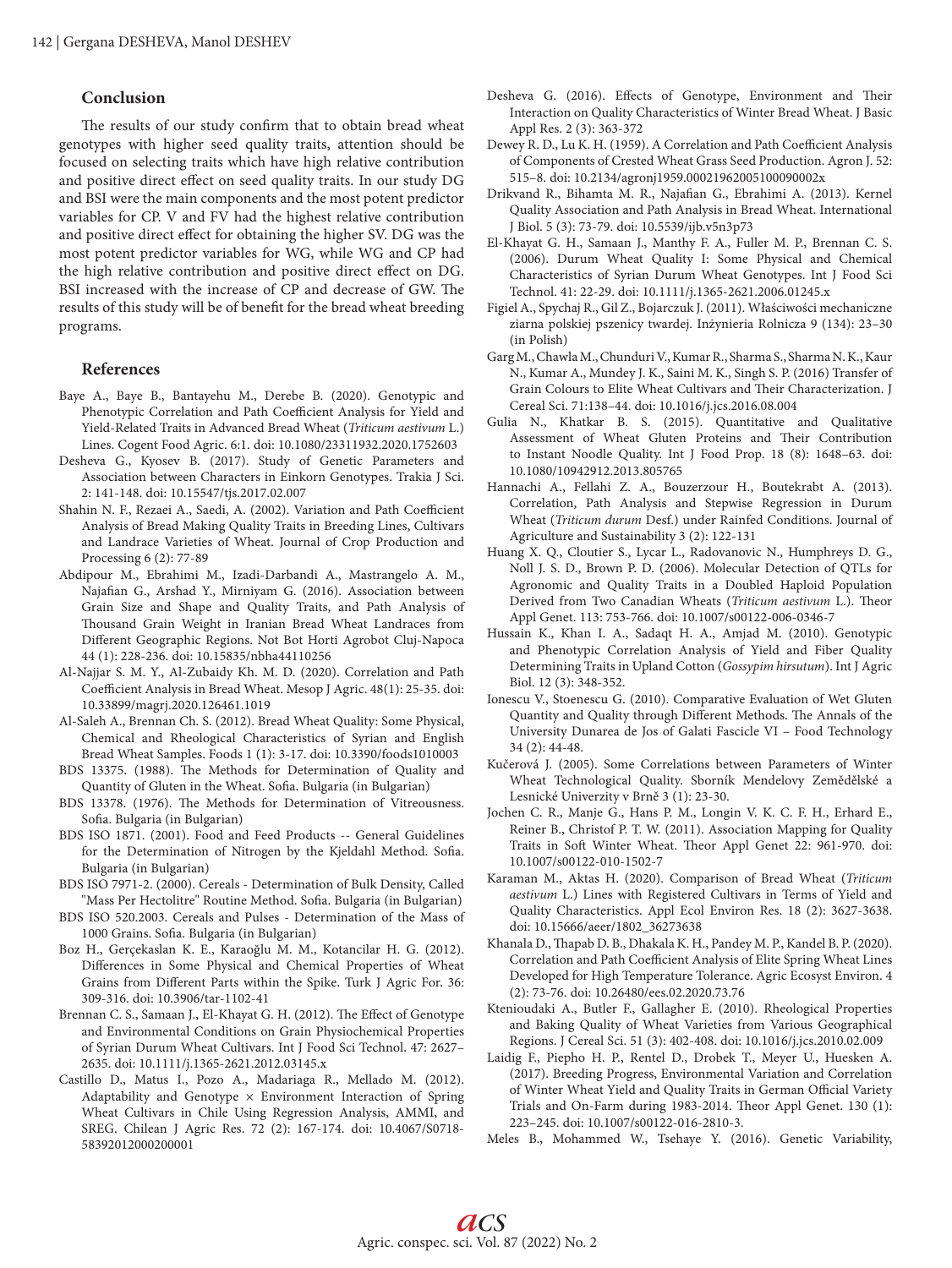## **Conclusion**

The results of our study confirm that to obtain bread wheat genotypes with higher seed quality traits, attention should be focused on selecting traits which have high relative contribution and positive direct effect on seed quality traits. In our study DG and BSI were the main components and the most potent predictor variables for CP. V and FV had the highest relative contribution and positive direct effect for obtaining the higher SV. DG was the most potent predictor variables for WG, while WG and CP had the high relative contribution and positive direct effect on DG. BSI increased with the increase of CP and decrease of GW. The results of this study will be of benefit for the bread wheat breeding programs.

#### **References**

- Baye A., Baye B., Bantayehu M., Derebe B. (2020). Genotypic and Phenotypic Correlation and Path Coefficient Analysis for Yield and Yield-Related Traits in Advanced Bread Wheat (*Triticum aestivum* L.) Lines. Cogent Food Agric. 6:1. doi: 10.1080/23311932.2020.1752603
- Desheva G., Kyosev B. (2017). Study of Genetic Parameters and Association between Characters in Einkorn Genotypes. Trakia J Sci. 2: 141-148. doi: 10.15547/tjs.2017.02.007
- Shahin N. F., Rezaei A., Saedi, A. (2002). Variation and Path Coefficient Analysis of Bread Making Quality Traits in Breeding Lines, Cultivars and Landrace Varieties of Wheat. Journal of Crop Production and Processing 6 (2): 77-89
- Abdipour M., Ebrahimi M., Izadi-Darbandi A., Mastrangelo A. M., Najafian G., Arshad Y., Mirniyam G. (2016). Association between Grain Size and Shape and Quality Traits, and Path Analysis of Thousand Grain Weight in Iranian Bread Wheat Landraces from Different Geographic Regions. Not Bot Horti Agrobot Cluj-Napoca 44 (1): 228-236. doi: 10.15835/nbha44110256
- Al-Najjar S. M. Y., Al-Zubaidy Kh. M. D. (2020). Correlation and Path Coefficient Analysis in Bread Wheat. Mesop J Agric. 48(1): 25-35. doi: 10.33899/magrj.2020.126461.1019
- Al-Saleh A., Brennan Ch. S. (2012). Bread Wheat Quality: Some Physical, Chemical and Rheological Characteristics of Syrian and English Bread Wheat Samples. Foods 1 (1): 3-17. doi: 10.3390/foods1010003
- BDS 13375. (1988). The Methods for Determination of Quality and Quantity of Gluten in the Wheat. Sofia. Bulgaria (in Bulgarian)
- BDS 13378. (1976). The Methods for Determination of Vitreousness. Sofia. Bulgaria (in Bulgarian)
- BDS ISO 1871. (2001). Food and Feed Products -- General Guidelines for the Determination of Nitrogen by the Kjeldahl Method. Sofia. Bulgaria (in Bulgarian)
- BDS ISO 7971-2. (2000). Cereals Determination of Bulk Density, Called "Mass Per Hectolitre" Routine Method. Sofia. Bulgaria (in Bulgarian)
- BDS ISO 520.2003. Cereals and Pulses Determination of the Mass of 1000 Grains. Sofia. Bulgaria (in Bulgarian)
- Boz H., Gerçekaslan K. E., Karaoğlu M. M., Kotancilar H. G. (2012). Differences in Some Physical and Chemical Properties of Wheat Grains from Different Parts within the Spike. Turk J Agric For. 36: 309-316. doi: 10.3906/tar-1102-41
- Brennan C. S., Samaan J., El-Khayat G. H. (2012). The Effect of Genotype and Environmental Conditions on Grain Physiochemical Properties of Syrian Durum Wheat Cultivars. Int J Food Sci Technol. 47: 2627– 2635. doi: 10.1111/j.1365-2621.2012.03145.x
- Castillo D., Matus I., Pozo A., Madariaga R., Mellado M. (2012). Adaptability and Genotype  $\times$  Environment Interaction of Spring Wheat Cultivars in Chile Using Regression Analysis, AMMI, and SREG. Chilean J Agric Res. 72 (2): 167-174. doi: 10.4067/S0718- 58392012000200001
- Desheva G. (2016). Effects of Genotype, Environment and Their Interaction on Quality Characteristics of Winter Bread Wheat. J Basic Appl Res. 2 (3): 363-372
- Dewey R. D., Lu K. H. (1959). A Correlation and Path Coefficient Analysis of Components of Crested Wheat Grass Seed Production. Agron J. 52: 515–8. doi: 10.2134/agronj1959.00021962005100090002x
- Drikvand R., Bihamta M. R., Najafian G., Ebrahimi A. (2013). Kernel Quality Association and Path Analysis in Bread Wheat. International J Biol. 5 (3): 73-79. doi: 10.5539/ijb.v5n3p73
- El-Khayat G. H., Samaan J., Manthy F. A., Fuller M. P., Brennan C. S. (2006). Durum Wheat Quality I: Some Physical and Chemical Characteristics of Syrian Durum Wheat Genotypes. Int J Food Sci Technol. 41: 22-29. doi: 10.1111/j.1365-2621.2006.01245.x
- Figiel A., Spychaj R., Gil Z., Bojarczuk J. (2011). Właściwości mechaniczne ziarna polskiej pszenicy twardej. Inżynieria Rolnicza 9 (134): 23–30 (in Polish)
- Garg M., Chawla M., Chunduri V., Kumar R., Sharma S., Sharma N. K., Kaur N., Kumar A., Mundey J. K., Saini M. K., Singh S. P. (2016) Transfer of Grain Colours to Elite Wheat Cultivars and Their Characterization. J Cereal Sci. 71:138–44. doi: 10.1016/j.jcs.2016.08.004
- Gulia N., Khatkar B. S. (2015). Quantitative and Qualitative Assessment of Wheat Gluten Proteins and Their Contribution to Instant Noodle Quality. Int J Food Prop. 18 (8): 1648–63. doi: 10.1080/10942912.2013.805765
- Hannachi A., Fellahi Z. A., Bouzerzour H., Boutekrabt A. (2013). Correlation, Path Analysis and Stepwise Regression in Durum Wheat (*Triticum durum* Desf.) under Rainfed Conditions. Journal of Agriculture and Sustainability 3 (2): 122-131
- Huang X. Q., Cloutier S., Lycar L., Radovanovic N., Humphreys D. G., Noll J. S. D., Brown P. D. (2006). Molecular Detection of QTLs for Agronomic and Quality Traits in a Doubled Haploid Population Derived from Two Canadian Wheats (*Triticum aestivum* L.). Theor Appl Genet. 113: 753-766. doi: 10.1007/s00122-006-0346-7
- Hussain K., Khan I. A., Sadaqt H. A., Amjad M. (2010). Genotypic and Phenotypic Correlation Analysis of Yield and Fiber Quality Determining Traits in Upland Cotton (*Gossypim hirsutum*). Int J Agric Biol. 12 (3): 348-352.
- Ionescu V., Stoenescu G. (2010). Comparative Evaluation of Wet Gluten Quantity and Quality through Different Methods. The Annals of the University Dunarea de Jos of Galati Fascicle VI – Food Technology 34 (2): 44-48.
- Kučerová J. (2005). Some Correlations between Parameters of Winter Wheat Technological Quality. Sborník Mendelovy Zemědělské a Lesnické Univerzity v Brně 3 (1): 23-30.
- Jochen C. R., Manje G., Hans P. M., Longin V. K. C. F. H., Erhard E., Reiner B., Christof P. T. W. (2011). Association Mapping for Quality Traits in Soft Winter Wheat. Theor Appl Genet 22: 961-970. doi: 10.1007/s00122-010-1502-7
- Karaman M., Aktas H. (2020). Comparison of Bread Wheat (*Triticum aestivum* L.) Lines with Registered Cultivars in Terms of Yield and Quality Characteristics. Appl Ecol Environ Res. 18 (2): 3627-3638. doi: 10.15666/aeer/1802\_36273638
- Khanala D., Thapab D. B., Dhakala K. H., Pandey M. P., Kandel B. P. (2020). Correlation and Path Coefficient Analysis of Elite Spring Wheat Lines Developed for High Temperature Tolerance. Agric Ecosyst Environ. 4 (2): 73-76. doi: 10.26480/ees.02.2020.73.76
- Ktenioudaki A., Butler F., Gallagher E. (2010). Rheological Properties and Baking Quality of Wheat Varieties from Various Geographical Regions. J Cereal Sci. 51 (3): 402-408. doi: 10.1016/j.jcs.2010.02.009
- Laidig F., Piepho H. P., Rentel D., Drobek T., Meyer U., Huesken A. (2017). Breeding Progress, Environmental Variation and Correlation of Winter Wheat Yield and Quality Traits in German Official Variety Trials and On-Farm during 1983-2014. Theor Appl Genet. 130 (1): 223–245. doi: 10.1007/s00122-016-2810-3.
- Meles B., Mohammed W., Tsehaye Y. (2016). Genetic Variability,